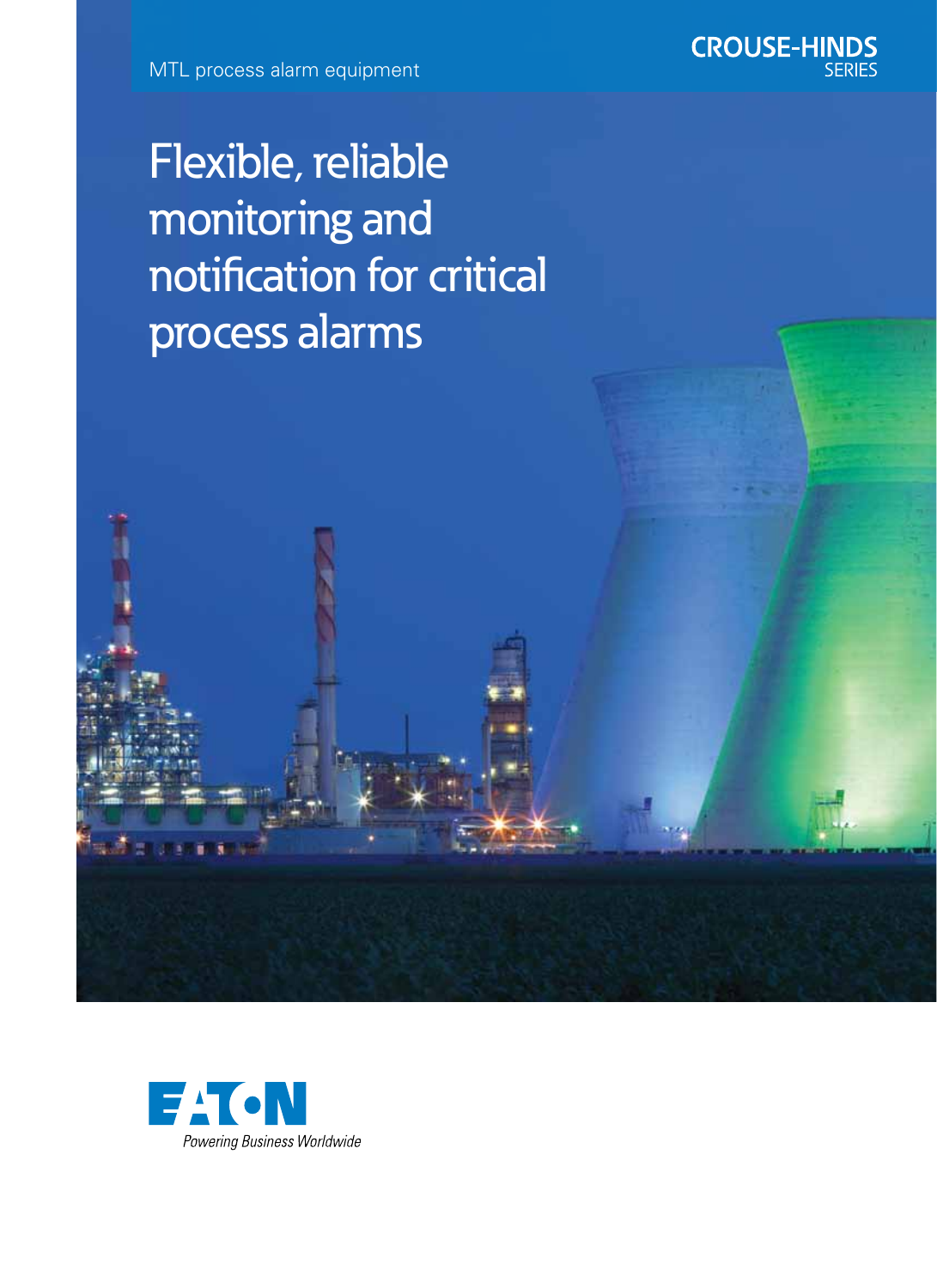MTL process alarm equipment



Flexible, reliable monitoring and notification for critical process alarms

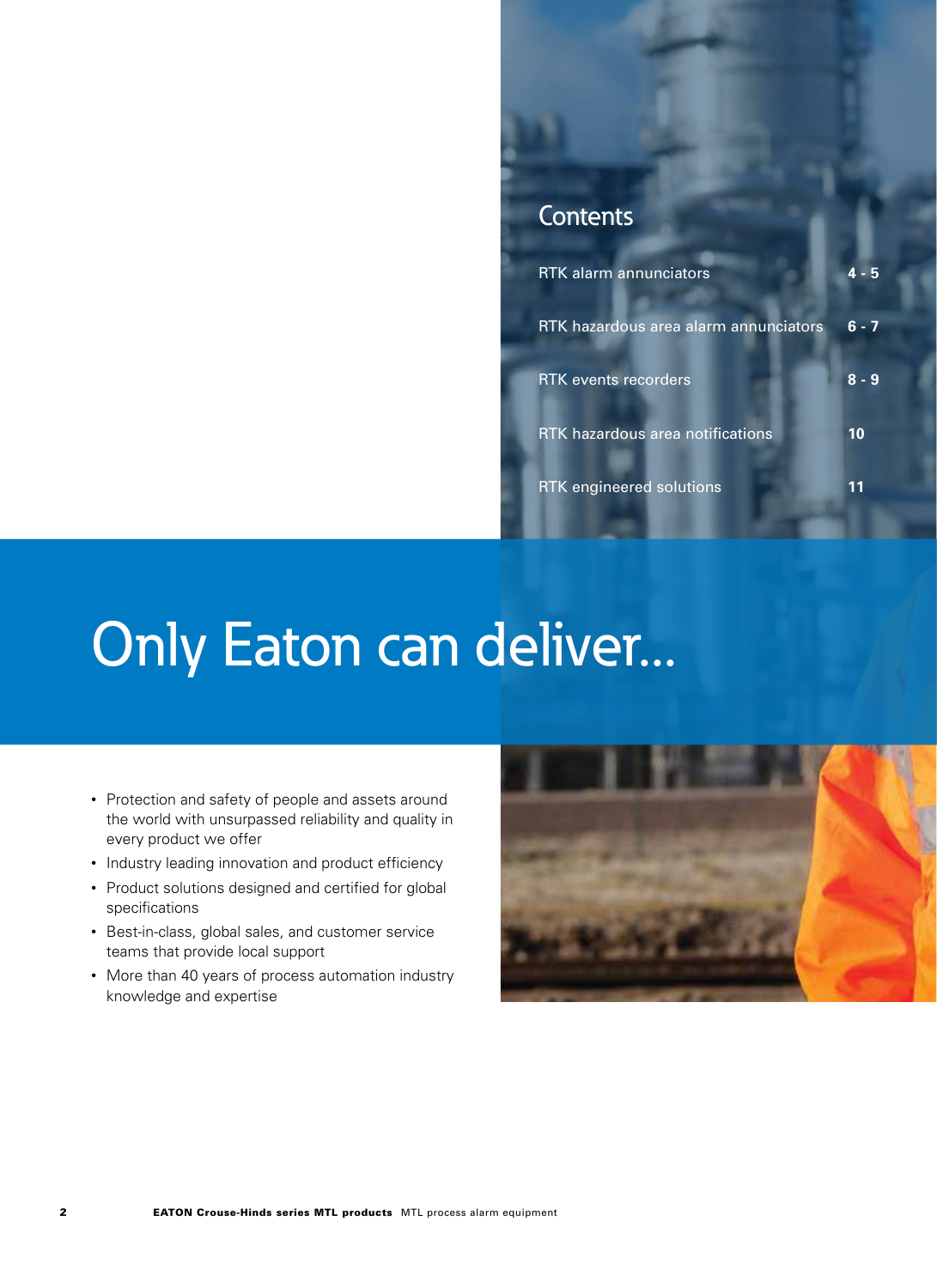### **Contents**

| <b>RTK</b> alarm annunciators           |         |
|-----------------------------------------|---------|
| RTK hazardous area alarm annunciators   | $6 - 7$ |
| <b>RTK</b> events recorders             | $8 - 9$ |
| <b>RTK hazardous area notifications</b> | 10      |
| <b>RTK engineered solutions</b>         |         |

# Only Eaton can deliver...

- Protection and safety of people and assets around the world with unsurpassed reliability and quality in every product we offer
- Industry leading innovation and product efficiency
- Product solutions designed and certified for global specifications
- Best-in-class, global sales, and customer service teams that provide local support
- More than 40 years of process automation industry knowledge and expertise

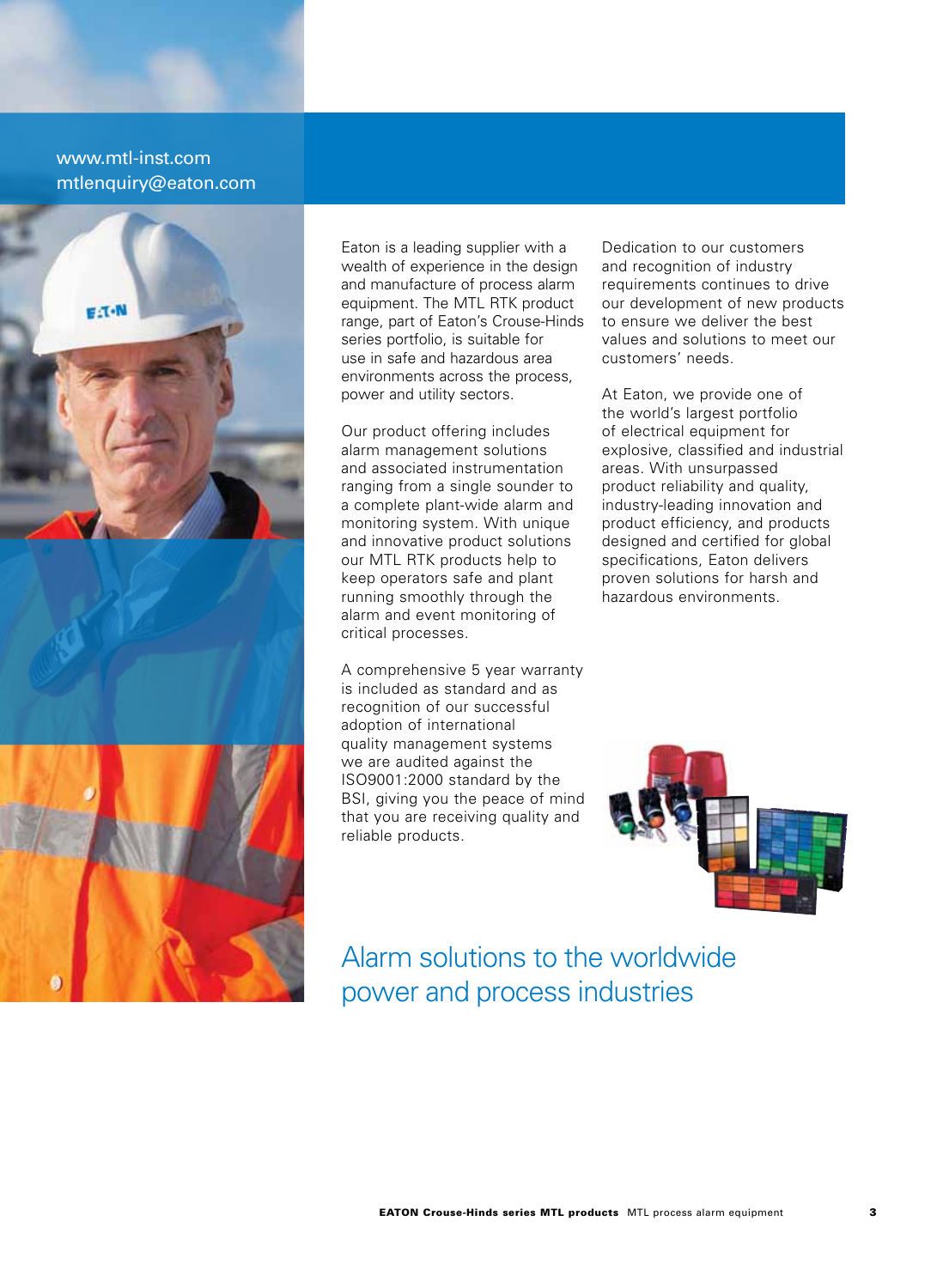### www.mtl-inst.com mtlenquiry@eaton.com



Eaton is a leading supplier with a wealth of experience in the design and manufacture of process alarm equipment. The MTL RTK product range, part of Eaton's Crouse-Hinds series portfolio, is suitable for use in safe and hazardous area environments across the process, power and utility sectors.

Our product offering includes alarm management solutions and associated instrumentation ranging from a single sounder to a complete plant-wide alarm and monitoring system. With unique and innovative product solutions our MTL RTK products help to keep operators safe and plant running smoothly through the alarm and event monitoring of critical processes.

A comprehensive 5 year warranty is included as standard and as recognition of our successful adoption of international quality management systems we are audited against the ISO9001:2000 standard by the BSI, giving you the peace of mind that you are receiving quality and reliable products.

Dedication to our customers and recognition of industry requirements continues to drive our development of new products to ensure we deliver the best values and solutions to meet our customers' needs.

At Eaton, we provide one of the world's largest portfolio of electrical equipment for explosive, classified and industrial areas. With unsurpassed product reliability and quality, industry-leading innovation and product efficiency, and products designed and certified for global specifications, Eaton delivers proven solutions for harsh and hazardous environments.



Alarm solutions to the worldwide power and process industries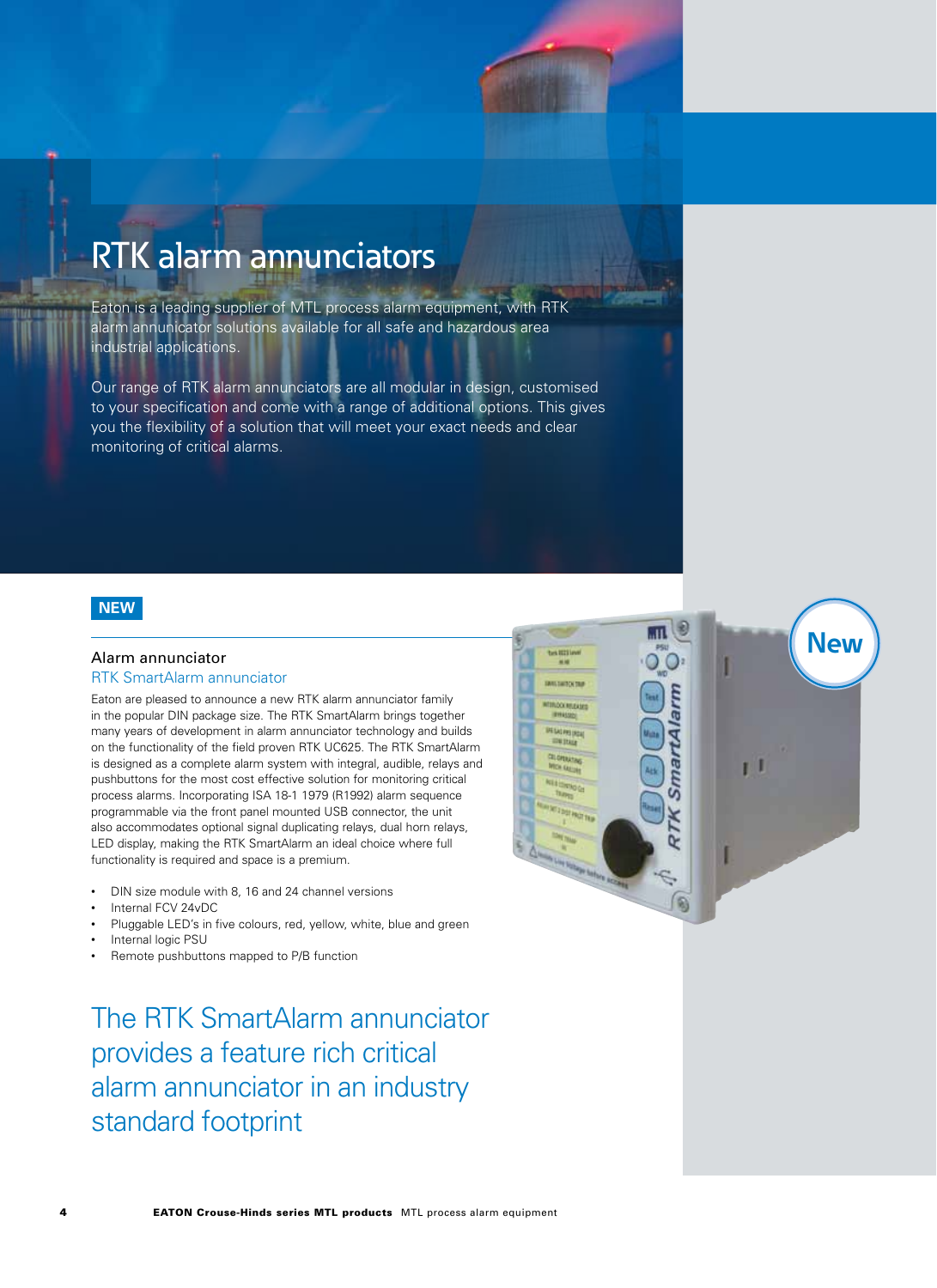## RTK alarm annunciators

Eaton is a leading supplier of MTL process alarm equipment, with RTK alarm annunicator solutions available for all safe and hazardous area industrial applications.

Our range of RTK alarm annunciators are all modular in design, customised to your specification and come with a range of additional options. This gives you the flexibility of a solution that will meet your exact needs and clear monitoring of critical alarms.

#### **NEW**

#### Alarm annunciator

#### RTK SmartAlarm annunciator

Eaton are pleased to announce a new RTK alarm annunciator family in the popular DIN package size. The RTK SmartAlarm brings together many years of development in alarm annunciator technology and builds on the functionality of the field proven RTK UC625. The RTK SmartAlarm is designed as a complete alarm system with integral, audible, relays and pushbuttons for the most cost effective solution for monitoring critical process alarms. Incorporating ISA 18-1 1979 (R1992) alarm sequence programmable via the front panel mounted USB connector, the unit also accommodates optional signal duplicating relays, dual horn relays, LED display, making the RTK SmartAlarm an ideal choice where full functionality is required and space is a premium.

- DIN size module with 8, 16 and 24 channel versions
- Internal FCV 24vDC
- Pluggable LED's in five colours, red, yellow, white, blue and green
- Internal logic PSU
- Remote pushbuttons mapped to P/B function

The RTK SmartAlarm annunciator provides a feature rich critical alarm annunciator in an industry standard footprint

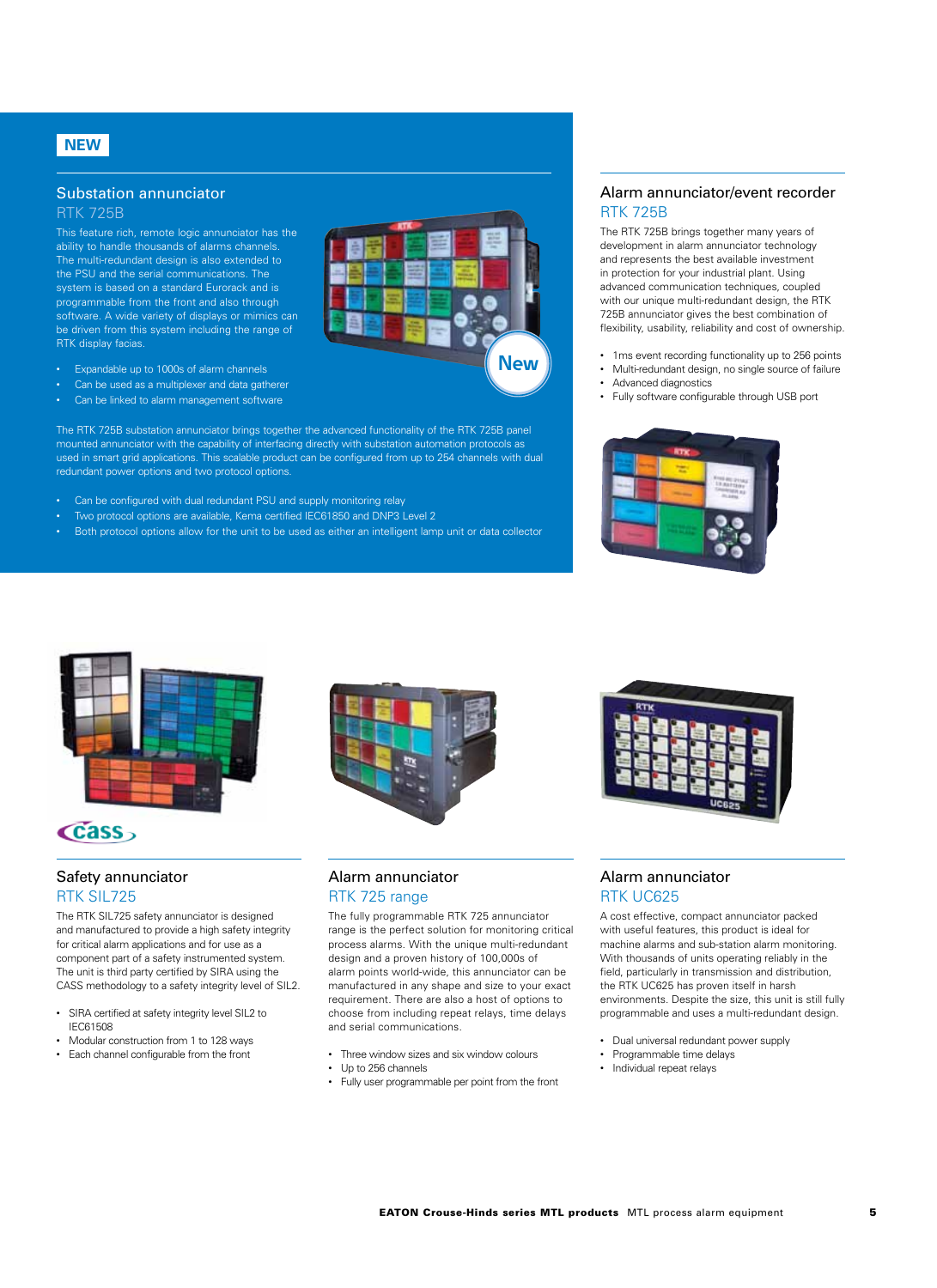### **NEW**

### Substation annunciator

RTK 725B

This feature rich, remote logic annunciator has the ability to handle thousands of alarms channels. The multi-redundant design is also extended to the PSU and the serial communications. The system is based on a standard Eurorack and is programmable from the front and also through software. A wide variety of displays or mimics can be driven from this system including the range of RTK display facias.

- Expandable up to 1000s of alarm channels
- Can be used as a multiplexer and data gatherer
- Can be linked to alarm management software

The RTK 725B substation annunciator brings together the advanced functionality of the RTK 725B panel mounted annunciator with the capability of interfacing directly with substation automation protocols as used in smart grid applications. This scalable product can be configured from up to 254 channels with dual redundant power options and two protocol options.

- Can be configured with dual redundant PSU and supply monitoring relay
- Two protocol options are available, Kema certified IEC61850 and DNP3 Level 2
- Both protocol options allow for the unit to be used as either an intelligent lamp unit or data collector

#### Alarm annunciator/event recorder RTK 725B

The RTK 725B brings together many years of development in alarm annunciator technology and represents the best available investment in protection for your industrial plant. Using advanced communication techniques, coupled with our unique multi-redundant design, the RTK 725B annunciator gives the best combination of flexibility, usability, reliability and cost of ownership.

- 1ms event recording functionality up to 256 points
- Multi-redundant design, no single source of failure
- Advanced diagnostics

**New**

• Fully software configurable through USB port





### $\epsilon$  cass

#### Safety annunciator RTK SIL725

The RTK SIL725 safety annunciator is designed and manufactured to provide a high safety integrity for critical alarm applications and for use as a component part of a safety instrumented system. The unit is third party certified by SIRA using the CASS methodology to a safety integrity level of SIL2.

- SIRA certified at safety integrity level SIL2 to IEC61508
- Modular construction from 1 to 128 ways
- Each channel configurable from the front



#### Alarm annunciator RTK 725 range

The fully programmable RTK 725 annunciator range is the perfect solution for monitoring critical process alarms. With the unique multi-redundant design and a proven history of 100,000s of alarm points world-wide, this annunciator can be manufactured in any shape and size to your exact requirement. There are also a host of options to choose from including repeat relays, time delays and serial communications.

- Three window sizes and six window colours
- Up to 256 channels
- Fully user programmable per point from the front



#### Alarm annunciator RTK UC625

A cost effective, compact annunciator packed with useful features, this product is ideal for machine alarms and sub-station alarm monitoring. With thousands of units operating reliably in the field, particularly in transmission and distribution, the RTK UC625 has proven itself in harsh environments. Despite the size, this unit is still fully programmable and uses a multi-redundant design.

- Dual universal redundant power supply
- Programmable time delays
- Individual repeat relays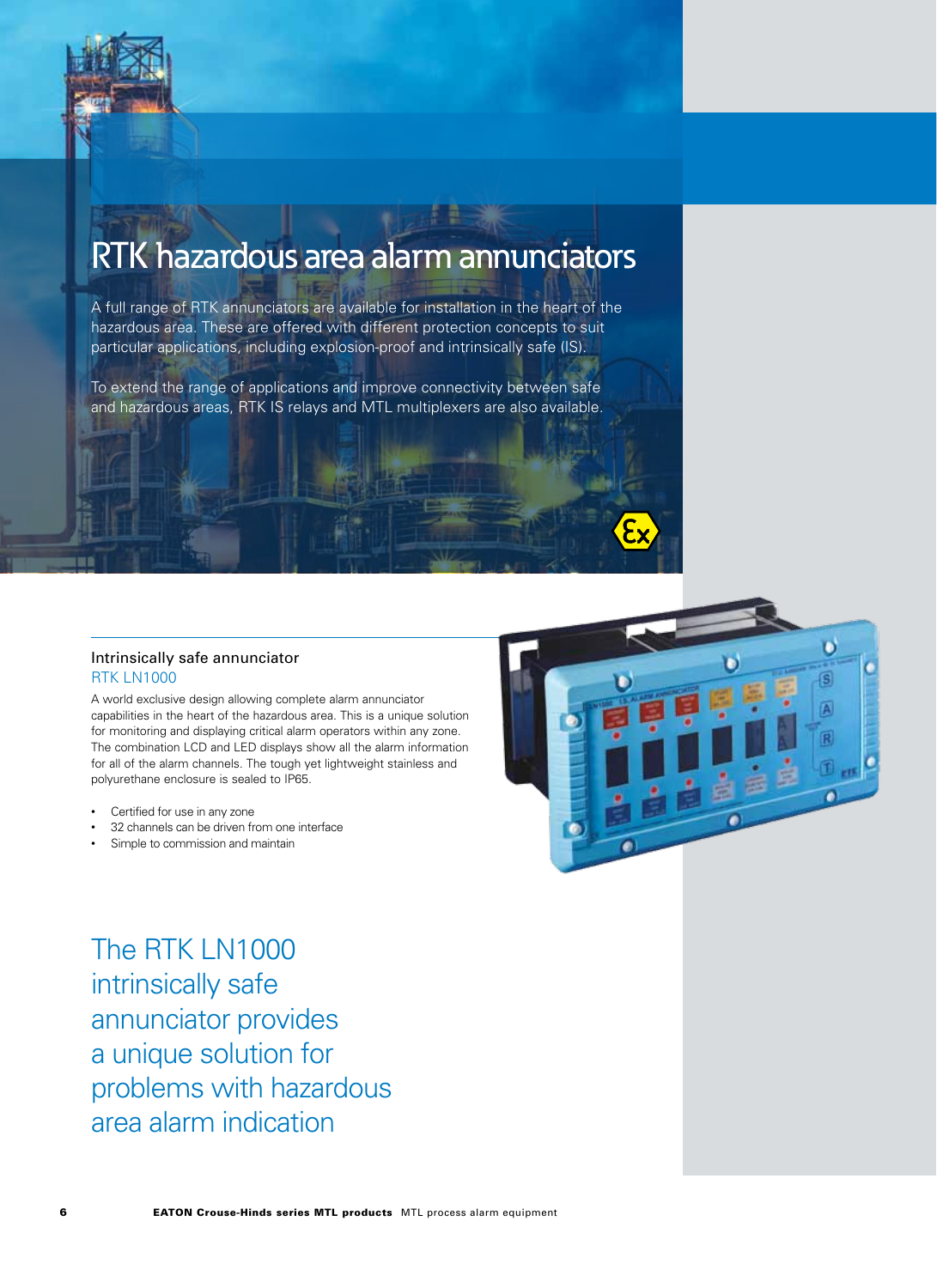

## RTK hazardous area alarm annunciators

A full range of RTK annunciators are available for installation in the heart of the hazardous area. These are offered with different protection concepts to suit particular applications, including explosion-proof and intrinsically safe (IS).

To extend the range of applications and improve connectivity between safe and hazardous areas, RTK IS relays and MTL multiplexers are also available.

#### Intrinsically safe annunciator RTK LN1000

A world exclusive design allowing complete alarm annunciator capabilities in the heart of the hazardous area. This is a unique solution for monitoring and displaying critical alarm operators within any zone. The combination LCD and LED displays show all the alarm information for all of the alarm channels. The tough yet lightweight stainless and polyurethane enclosure is sealed to IP65.

- Certified for use in any zone
- 32 channels can be driven from one interface
- Simple to commission and maintain



The RTK LN1000 intrinsically safe annunciator provides a unique solution for problems with hazardous area alarm indication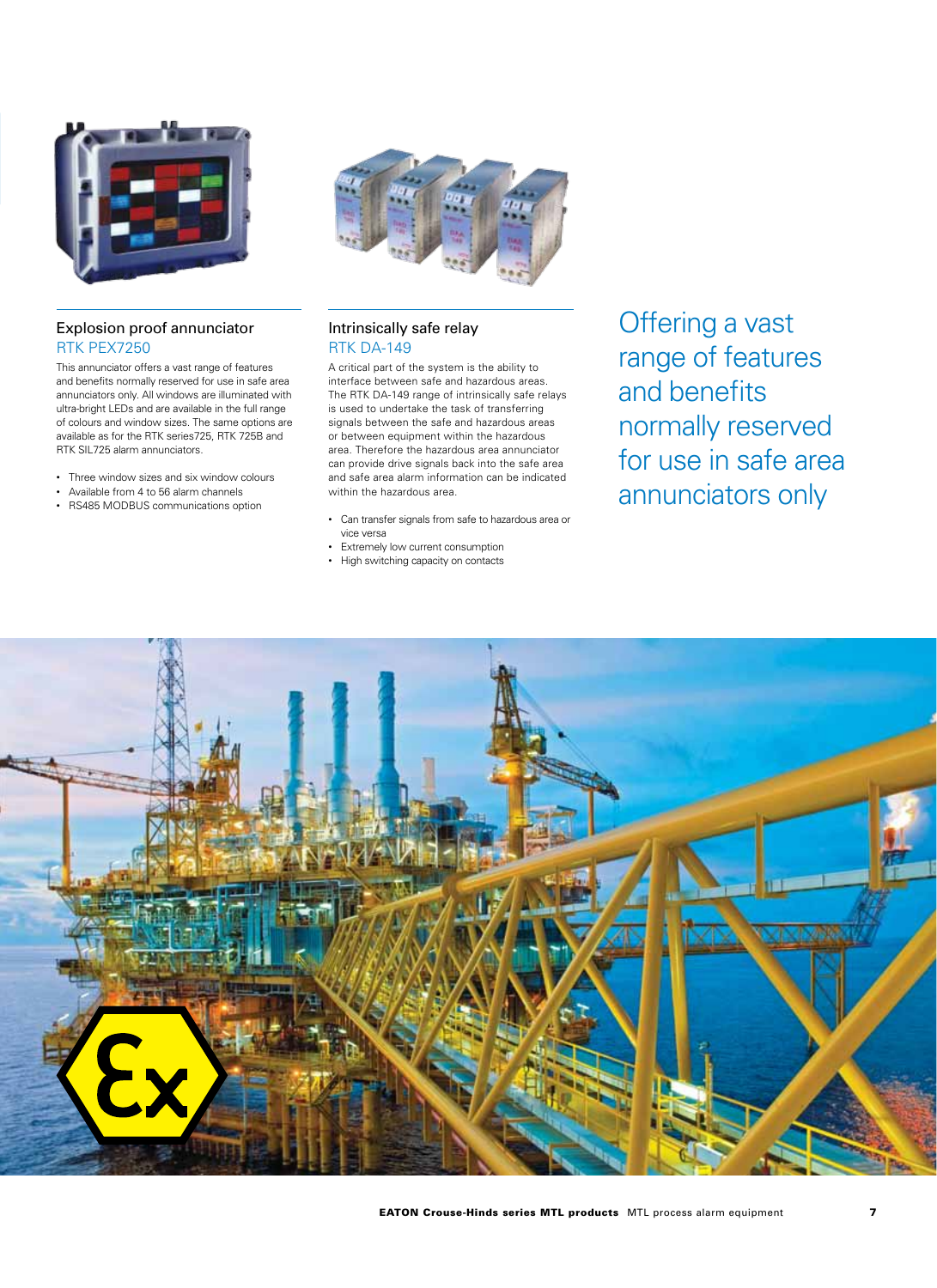

#### Explosion proof annunciator RTK PEX7250

This annunciator offers a vast range of features and benefits normally reserved for use in safe area annunciators only. All windows are illuminated with ultra-bright LEDs and are available in the full range of colours and window sizes. The same options are available as for the RTK series725, RTK 725B and RTK SIL725 alarm annunciators.

- Three window sizes and six window colours
- Available from 4 to 56 alarm channels
- RS485 MODBUS communications option



#### Intrinsically safe relay RTK DA-149

A critical part of the system is the ability to interface between safe and hazardous areas. The RTK DA-149 range of intrinsically safe relays is used to undertake the task of transferring signals between the safe and hazardous areas or between equipment within the hazardous area. Therefore the hazardous area annunciator can provide drive signals back into the safe area and safe area alarm information can be indicated within the hazardous area.

- Can transfer signals from safe to hazardous area or vice versa
- Extremely low current consumption
- High switching capacity on contacts

Offering a vast range of features and benefits normally reserved for use in safe area annunciators only

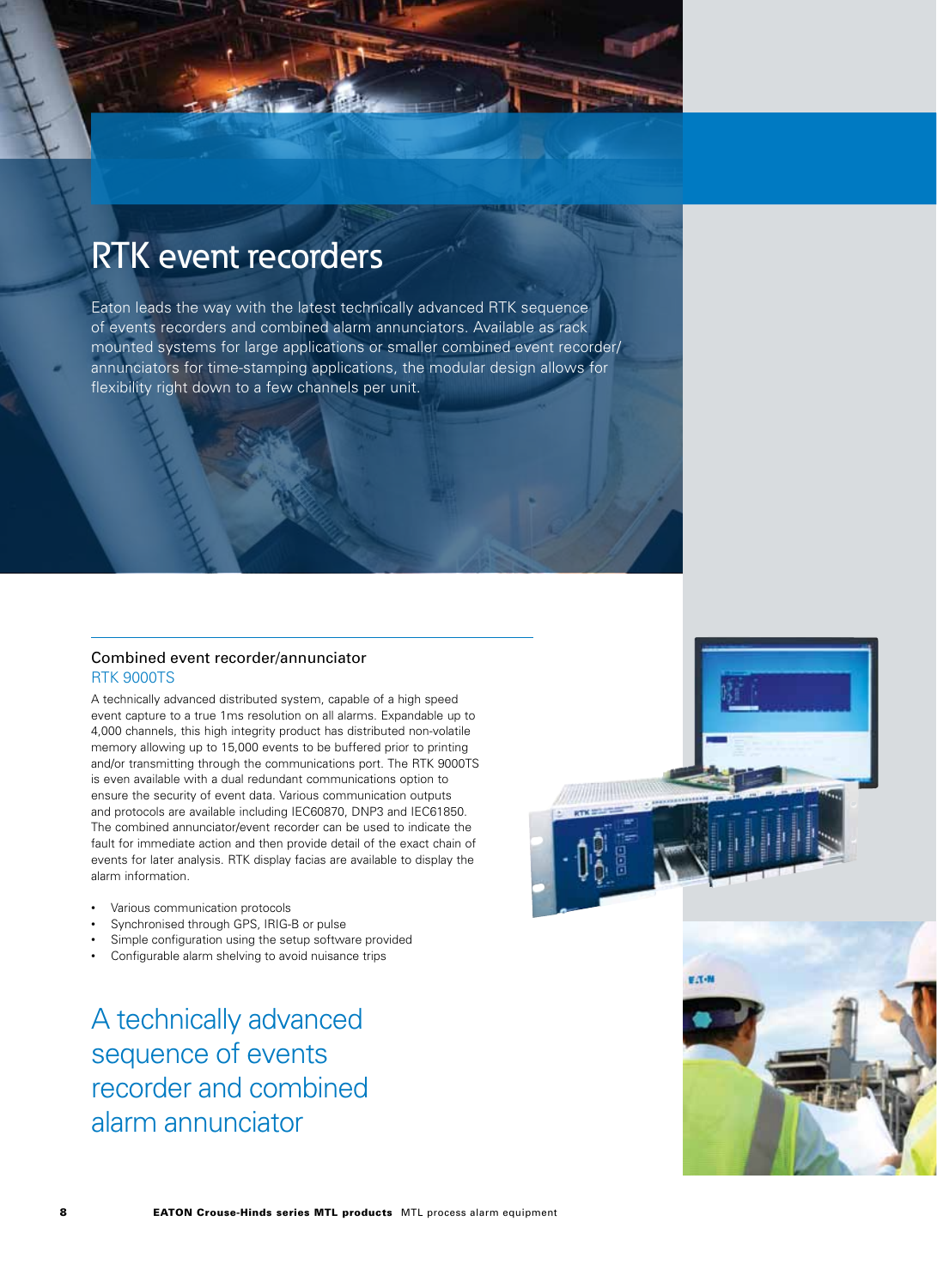### RTK event recorders

Eaton leads the way with the latest technically advanced RTK sequence of events recorders and combined alarm annunciators. Available as rack mounted systems for large applications or smaller combined event recorder/ annunciators for time-stamping applications, the modular design allows for flexibility right down to a few channels per unit.

#### Combined event recorder/annunciator RTK 9000TS

A technically advanced distributed system, capable of a high speed event capture to a true 1ms resolution on all alarms. Expandable up to 4,000 channels, this high integrity product has distributed non-volatile memory allowing up to 15,000 events to be buffered prior to printing and/or transmitting through the communications port. The RTK 9000TS is even available with a dual redundant communications option to ensure the security of event data. Various communication outputs and protocols are available including IEC60870, DNP3 and IEC61850. The combined annunciator/event recorder can be used to indicate the fault for immediate action and then provide detail of the exact chain of events for later analysis. RTK display facias are available to display the alarm information.

- Various communication protocols
- Synchronised through GPS, IRIG-B or pulse
- Simple configuration using the setup software provided
- Configurable alarm shelving to avoid nuisance trips

A technically advanced sequence of events recorder and combined alarm annunciator



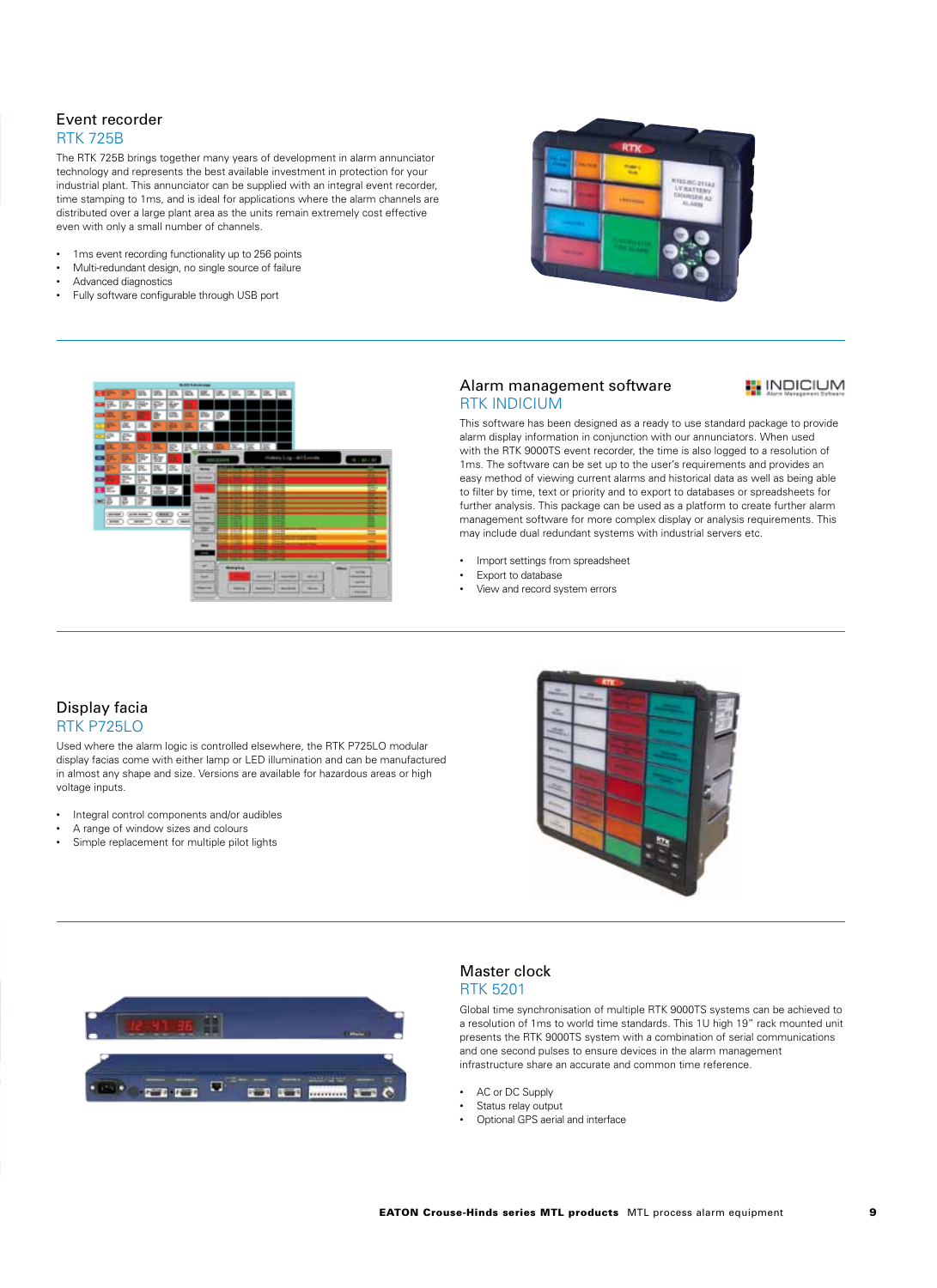#### Event recorder RTK 725B

The RTK 725B brings together many years of development in alarm annunciator technology and represents the best available investment in protection for your industrial plant. This annunciator can be supplied with an integral event recorder, time stamping to 1ms, and is ideal for applications where the alarm channels are distributed over a large plant area as the units remain extremely cost effective even with only a small number of channels.

- 1ms event recording functionality up to 256 points
- Multi-redundant design, no single source of failure
- Advanced diagnostics
- Fully software configurable through USB port





#### Alarm management software **RTK INDICIUM**

#### **INDICIUM**

This software has been designed as a ready to use standard package to provide alarm display information in conjunction with our annunciators. When used with the RTK 9000TS event recorder, the time is also logged to a resolution of 1ms. The software can be set up to the user's requirements and provides an easy method of viewing current alarms and historical data as well as being able to filter by time, text or priority and to export to databases or spreadsheets for further analysis. This package can be used as a platform to create further alarm management software for more complex display or analysis requirements. This may include dual redundant systems with industrial servers etc.

- Import settings from spreadsheet
- Export to database
- View and record system errors

#### Display facia RTK P725LO

Used where the alarm logic is controlled elsewhere, the RTK P725LO modular display facias come with either lamp or LED illumination and can be manufactured in almost any shape and size. Versions are available for hazardous areas or high voltage inputs.

- Integral control components and/or audibles
- A range of window sizes and colours
- Simple replacement for multiple pilot lights





#### Master clock RTK 5201

Global time synchronisation of multiple RTK 9000TS systems can be achieved to a resolution of 1ms to world time standards. This 1U high 19" rack mounted unit presents the RTK 9000TS system with a combination of serial communications and one second pulses to ensure devices in the alarm management infrastructure share an accurate and common time reference.

- AC or DC Supply
- Status relay output
- Optional GPS aerial and interface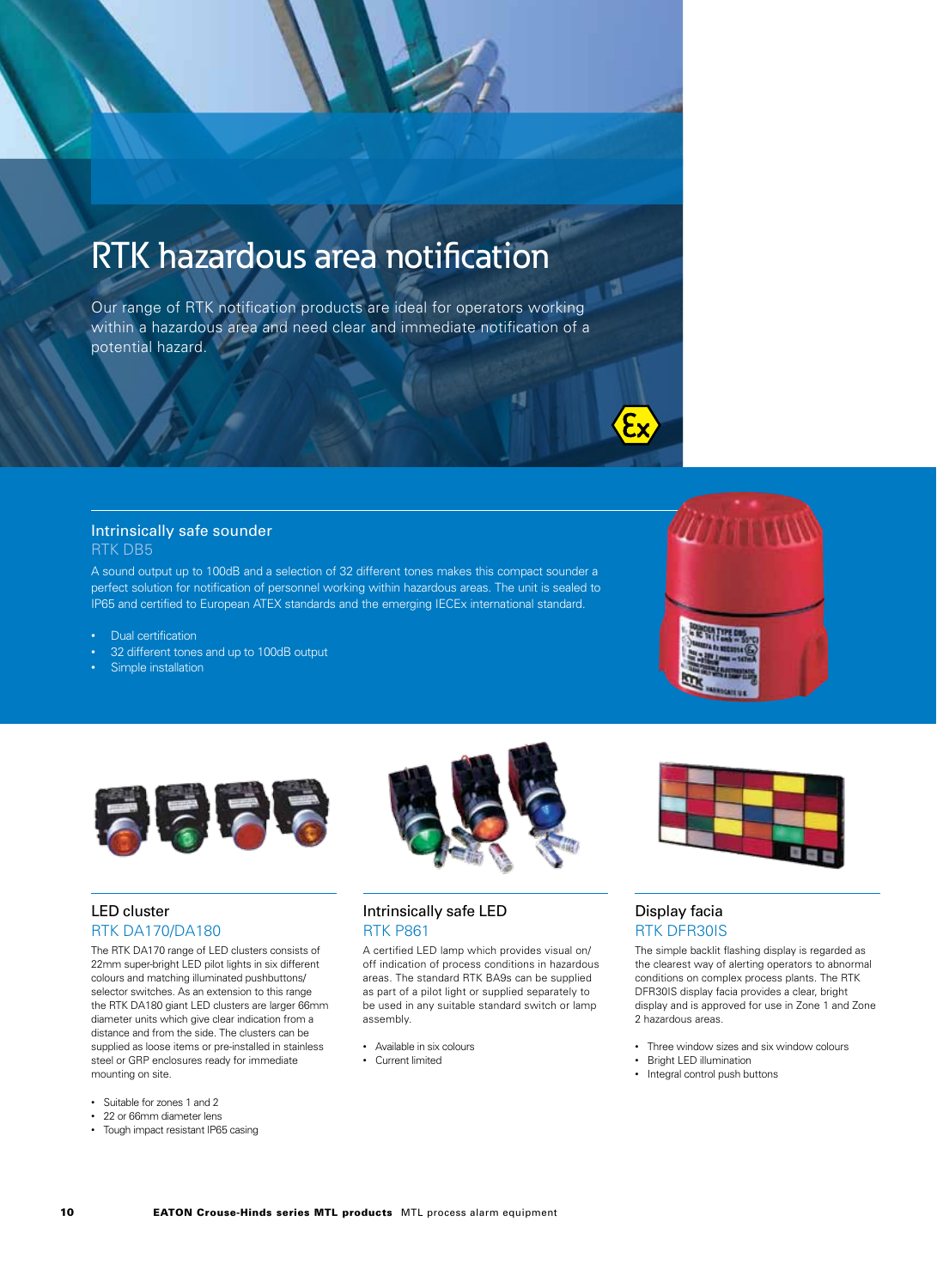## RTK hazardous area notification

Our range of RTK notification products are ideal for operators working within a hazardous area and need clear and immediate notification of a potential hazard.

#### Intrinsically safe sounder RTK DB5

A sound output up to 100dB and a selection of 32 different tones makes this compact sounder a perfect solution for notification of personnel working within hazardous areas. The unit is sealed to IP65 and certified to European ATEX standards and the emerging IECEx international standard.

- Dual certification
- 32 different tones and up to 100dB output
- Simple installation



#### LED cluster RTK DA170/DA180

The RTK DA170 range of LED clusters consists of 22mm super-bright LED pilot lights in six different colours and matching illuminated pushbuttons/ selector switches. As an extension to this range the RTK DA180 giant LED clusters are larger 66mm diameter units which give clear indication from a distance and from the side. The clusters can be supplied as loose items or pre-installed in stainless steel or GRP enclosures ready for immediate mounting on site.

- Suitable for zones 1 and 2
- 22 or 66mm diameter lens
- Tough impact resistant IP65 casing



A certified LED lamp which provides visual on/ off indication of process conditions in hazardous areas. The standard RTK BA9s can be supplied as part of a pilot light or supplied separately to be used in any suitable standard switch or lamp assembly.

- Available in six colours
- Current limited



#### Display facia RTK DFR30IS

The simple backlit flashing display is regarded as the clearest way of alerting operators to abnormal conditions on complex process plants. The RTK DFR30IS display facia provides a clear, bright display and is approved for use in Zone 1 and Zone 2 hazardous areas.

- Three window sizes and six window colours
- Bright LED illumination
- Integral control push buttons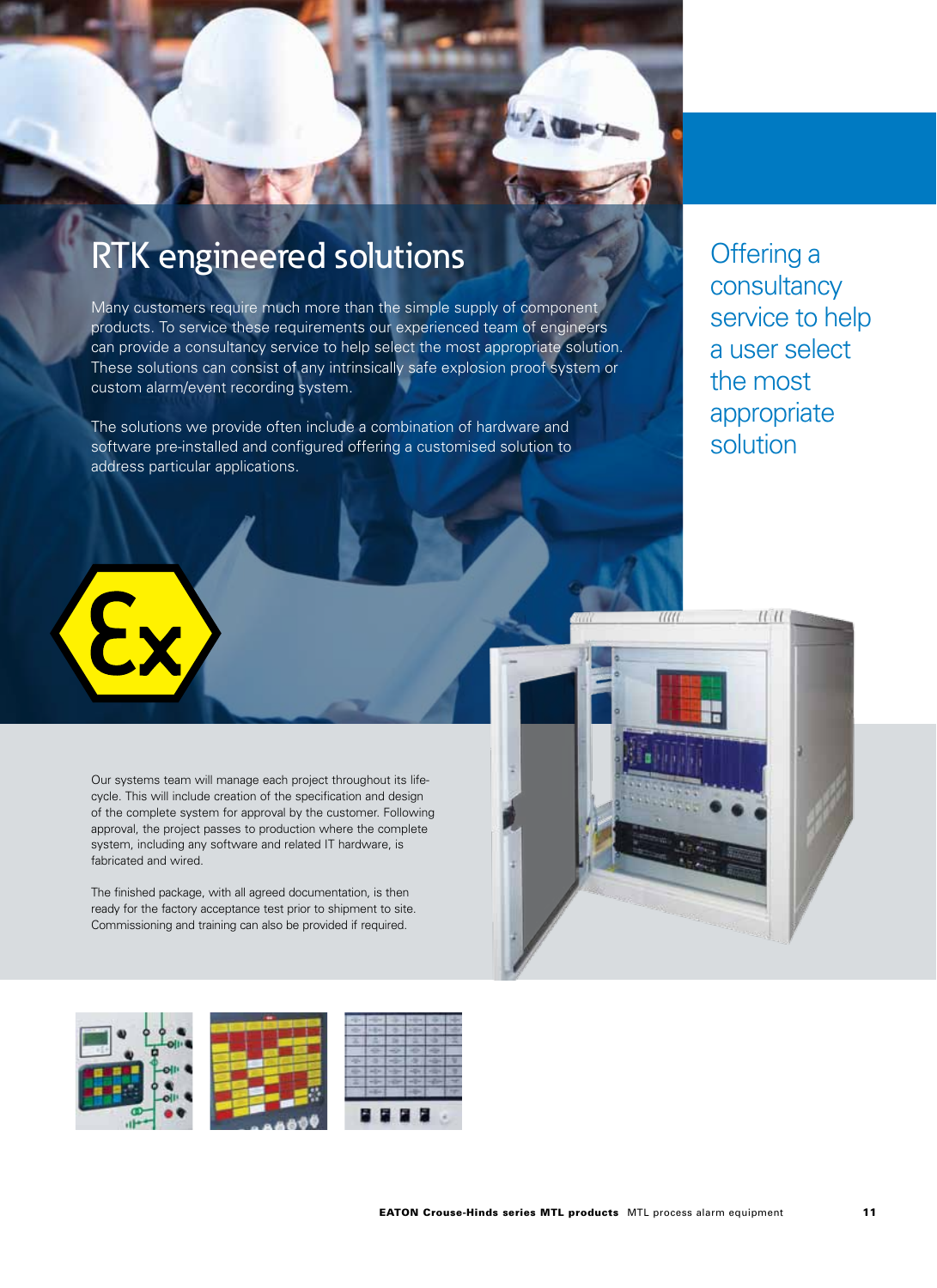### RTK engineered solutions

Many customers require much more than the simple supply of component products. To service these requirements our experienced team of engineers can provide a consultancy service to help select the most appropriate solution. These solutions can consist of any intrinsically safe explosion proof system or custom alarm/event recording system.

The solutions we provide often include a combination of hardware and software pre-installed and configured offering a customised solution to address particular applications.

Offering a consultancy service to help a user select the most appropriate solution

Our systems team will manage each project throughout its lifecycle. This will include creation of the specification and design of the complete system for approval by the customer. Following approval, the project passes to production where the complete system, including any software and related IT hardware, is fabricated and wired.

The finished package, with all agreed documentation, is then ready for the factory acceptance test prior to shipment to site. Commissioning and training can also be provided if required.